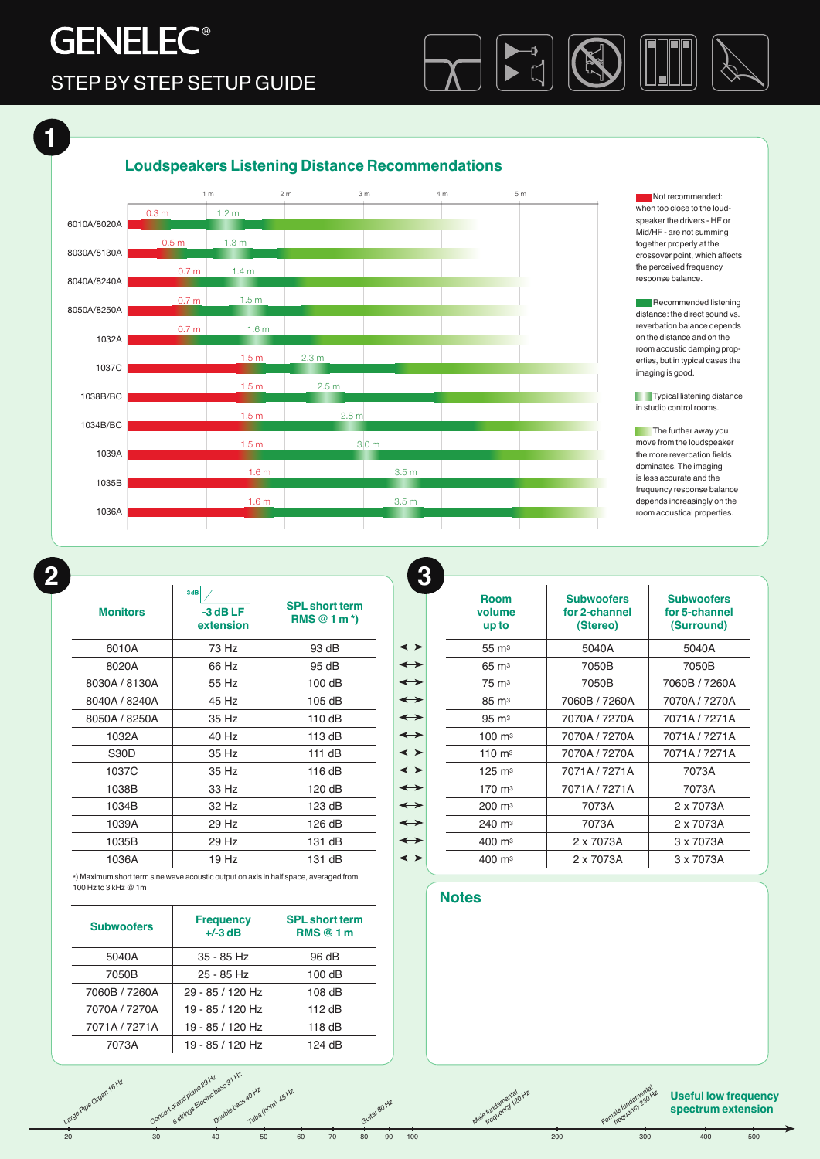## **GENELEC<sup>®</sup>** STEP BY STEP SETUP GUIDE



## **Loudspeakers Listening Distance Recommendations**



Not recommended: 0.7 m 1.5 m together properly at the 1 m 2 m 3 m 4 m 5 m speaker the drivers - HF or when too close to the loud-<br>
Loudspeakers Listening Distance Recommendations of the loud-Mid/HF - are not summing crossover point, which affects the perceived frequency

1 m 2 m 3 m 4 m 5 m

1.5 m 3.0 m

1.6 m

2.5 m

2.3 m

1.6 m 3.5 m

**Commended listening Louis Listening** 1.4 m 0.7 m reverbation balance depends room acoustic damping propdistance: the direct sound vs. on the distance and on the  $\sim$ erties, but in typical cases the

> in studio control rooms. **Typical listening distance**

frequency response balance room acoustical properties. dominates. The imaging The further away you move from the loudspeaker is less accurate and the depends increasingly on the the more reverbation fields

*Large Pipe Organ 16 Hz*

**1**

| <b>Monitors</b> | $-3dB+$<br>$-3$ dB LF<br>extension | <b>SPL short term</b><br>$RMS@1m*$ |                   |
|-----------------|------------------------------------|------------------------------------|-------------------|
| 6010A           | 73 Hz                              | 93 dB                              | $\leftrightarrow$ |
| 8020A           | 66 Hz                              | 95 dB                              | $\leftrightarrow$ |
| 8030A / 8130A   | 55 Hz                              | 100 dB                             | $\leftrightarrow$ |
| 8040A / 8240A   | 45 Hz                              | 105 dB                             | $\leftrightarrow$ |
| 8050A / 8250A   | 35 Hz                              | 110 dB                             | $\leftrightarrow$ |
| 1032A           | 40 Hz                              | 113 dB                             | $\leftrightarrow$ |
| S30D            | 35 Hz                              | 111 dB                             | $\leftrightarrow$ |
| 1037C           | 35 Hz                              | 116 dB                             | $\leftrightarrow$ |
| 1038B           | 33 Hz                              | 120 dB                             | $\leftrightarrow$ |
| 1034B           | 32 Hz                              | 123 dB                             | $\leftrightarrow$ |
| 1039A           | 29 Hz                              | 126 dB                             | $\leftrightarrow$ |
| 1035B           | 29 Hz                              | 131 dB                             | $\leftrightarrow$ |
| 1036A           | 19Hz                               | 131 dB                             | $\leftrightarrow$ |
|                 |                                    |                                    |                   |

\*) Maximum short term sine wave acoustic output on axis in half space, averaged from 100 Hz to 3 kHz @ 1m

| <b>Subwoofers</b> | <b>Frequency</b><br>$+/-3$ dB | <b>SPL</b> short term<br><b>RMS</b> @ 1 m |  |
|-------------------|-------------------------------|-------------------------------------------|--|
| 5040A             | $35 - 85$ Hz                  | 96 dB                                     |  |
| 7050B             | $25 - 85$ Hz                  | 100 dB                                    |  |
| 7060B / 7260A     | 29 - 85 / 120 Hz              | $108$ dB                                  |  |
| 7070A / 7270A     | 19 - 85 / 120 Hz              | 112 $dB$                                  |  |
| 7071A/7271A       | 19 - 85 / 120 Hz              | 118 dB                                    |  |
| 7073A             | 19 - 85 / 120 Hz              | 124 dB                                    |  |

**Die bassaumer (horn) 45 Hz** 

*Concert grand piano 29 Hz* grand piano<sub>29 Hz</sub><br>grand piano<sub>29 Hz</sub>ouble bass 40 Hz<br>Pouble pouble bass 4 Uhz

| <b>Room</b><br>volume<br>up to | <b>Subwoofers</b><br>for 2-channel<br>(Stereo) | <b>Subwoofers</b><br>for 5-channel<br>(Surround) |  |
|--------------------------------|------------------------------------------------|--------------------------------------------------|--|
| $55 \text{ m}^3$               | 5040A                                          | 5040A                                            |  |
| $65 \text{ m}^3$               | 7050B                                          | 7050B                                            |  |
| 75 m <sup>3</sup>              | 7050B                                          | 7060B / 7260A                                    |  |
| 85 m <sup>3</sup>              | 7060B / 7260A                                  | 7070A / 7270A                                    |  |
| $95 \text{ m}^3$               | 7070A / 7270A                                  | 7071A / 7271A                                    |  |
| $100 \text{ m}^3$              | 7070A / 7270A                                  | 7071A/7271A                                      |  |
| $110 \text{ m}^3$              | 7070A / 7270A                                  | 7071A/7271A                                      |  |
| $125 \text{ m}^3$              | 7071A / 7271A                                  | 7073A                                            |  |
| 170 m <sup>3</sup>             | 7071A / 7271A                                  | 7073A                                            |  |
| $200 \; \text{m}^3$            | 7073A                                          | 2 x 7073A                                        |  |
| $240 \; \text{m}^3$            | 7073A                                          | 2 x 7073A                                        |  |
| $400 \; \text{m}^3$            | 2 x 7073A                                      | 3 x 7073A                                        |  |
| $400 \; \mathrm{m}^3$          | 2 x 7073A                                      | 3 x 7073A                                        |  |

### **Notes**

*Male fundamental frequency 120 Hz*

20 30 40 50 60 70 80 90 100 200 300 400 500

*Guitar 80 Hz*

#### **Useful low frequency spectrum extension**

*Female fundamental*  ale fundament<sub>230</sub> Hz<br>ale fundame<sub>230 Hz</sub>